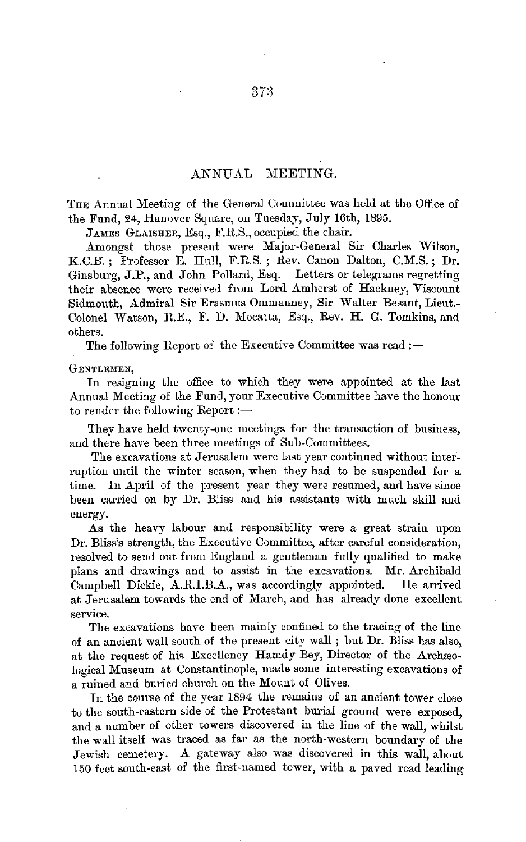THE Annual Meeting of the General Committee was held at the Office of the Fund, 24, Hanover Square, on Tuesday, July 16th, 1895.

JAMES GLAISHER, Esq., F.R.S., occupied the chair.

Amongst those present were Major-General Sir Charles Wilson, K.C.H. ; Professor E. Hull, F.R.S. ; Rev. Canon Dalton, C.M.S. ; Dr. Ginsburg, J.P., and John Pollard, Esq. Letters or telegrams regretting their absence were received from Lord Amherst of Hackney, Viscount Sidmonth, Admiral Sir Erasmus Ommanney, Sir Walter Besant, Lieut.- Colonel Watson, R.E., F. D. Mocatta, Esq., Rev. H. G. Tomkins, and othera.

The following Report of the Executive Committee was read :-

GENTLEMEN,

In resigning the office to which they were appointed at the last Annual Meeting of the Fund, your Executive Committee have the honour to render the following Report :-

They have held twenty-one meetings for the transaction of business, and there have been three meetings of Sub-Committees.

The excavations at Jerusalem were last year continued without interruption until the winter season, when they had to be suspended for a time. In April of the present year they were resumed, and have since been carried on by Dr. Bliss and his assistants with much skill and energy.

As the heavy labour and responsibility were a great strain upon Dr. Bliss's strength, the Executive Committee, after careful consideration, resolved to send out from England a geutleman fully qualified to make plans and drawings and to assist in the excavations. Mr. Archibald Campbell Dickie, A.R.I.B.A., was accordingly appointed. He arrived at Jerusalem towards the end of March, and has already done excellent service.

The excavations have been mainly confined to the tracing of the line of an ancient wall south of the present city wall ; but Dr. Bliss has also, at the request of his Excellency Hamdy Bey, Director of the Archaeological Museum at Constantinople, made some interesting excavations of a ruined and buried church on the Mount of Olives.

In the course of the year 1894 the remains of an ancient tower close tu the south-eastern side of the Protestant burial ground were exposed, and a number of other towers discovered iu the line of the wall, whilst the wall itself was traced as far as the north-western boundary of the Jewish cemetery. A gateway also was discovered in this wall, about 150 feet south-east of the first-named tower, with a paved road leading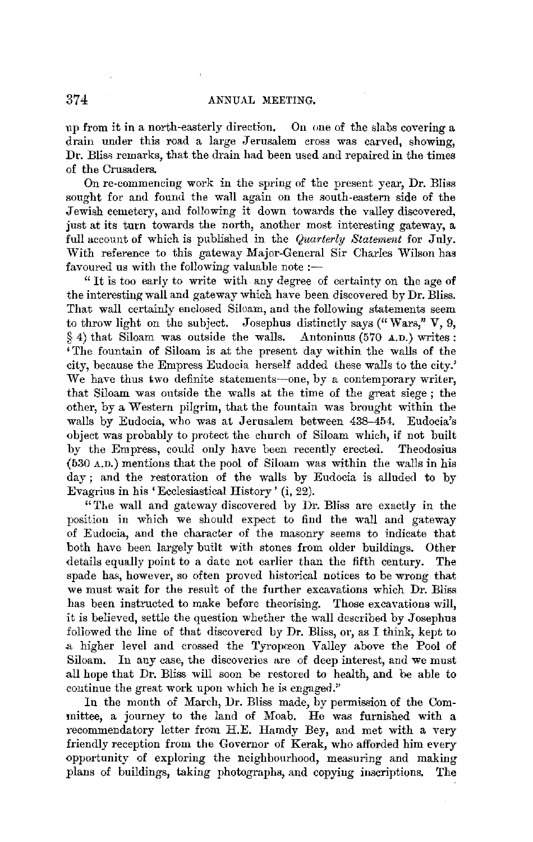up from it in a north-easterly direction. On one of the slabs covering a drain under this road a large Jerusalem cross was carved, showing, Dr. Bliss remarks, that the drain had been used and repaired in the times of the Crusaders.

On re-commencing work in the spring of the present year, Dr. Bliss sought for and found the wall again on the south-eastern side of the Jewish cemetery, and following it down towards the valley discovered, just at its turn towards the north, another most interesting gateway, a full account of which is published in the *Quarterly Statement* for July. With reference to this gateway Major-General Sir Charles Wilson has favoured us with the following valuable note  $:$ 

" It is too early to write with any degree of certainty on the age of the interesting wall and gateway which have been discovered by Dr. Bliss. That wall certainly enclosed Siloam, and the following statements seem to throw light on the subject. Josephus distinctly says ("Wars,"  $V$ , 9, § 4) that Siloam was outside the walls. Antoninus (570 A.D.) writes:  $§ 4$ ) that Siloam was outside the walls. 'The fountain of Siloam is at the present day within the walls of the city, because the Empress Eudocia herself added these walls to the city.' We have thus two definite statements-one, by a contemporary writer, that Siloam was outside the walls at the time of the great siege ; the other, by a Western pilgrim, that the fountain was brought within the walls by Eudocia, who was at Jerusalem between 438-454. Eudocia's object was probably to protect the church of Siloam which, if not built by the Empress, could only have been recently erected. Theodosius (530 A.n.) mentions that the pool of Siloam was within the walls in his day; and the restoration of the walls by Eudocia is alluded to by Evagrius in his 'Ecclesiastical History ' (i, 22).

"The wall and gateway discovered by Dr. Bliss are exactly in the position in which we should expect to find the wall and gateway of Eudocia, and the character of the masonry seems to indicate that both have been largely built with stones from older buildings. Other details equally point to a date not earlier than the fifth century. The spade has, however, so often proved historical notices to be wrong that we must wait for the result of the further excavations which Dr. Bliss has been instructed to make before theorising. Those excavations will, it is believed, settle the question whether the wall described by Josephus followed the line of that discovered by Dr. Bliss, or, as I think, kept to .a higher level and crossed the Tyropceon Valley above the Pool of Siloam. In any case, the discoveries are of deep interest, and we must all hope that Dr. Bliss will soon be restored to health, and be able to continue the great work upon which he is engaged."

In the month of March, Dr. Bliss made, by permission of the Committee, a journey to the land of Moab. He was furnished with a recommendatory letter from H.E. Hamdy Bey, and met with a very friendly reception from the Governor of Kerak, who afforded him every opportunity of exploring the neighbourhood, measuring and making plans of buildings, taking photographs, and copying inscriptions. The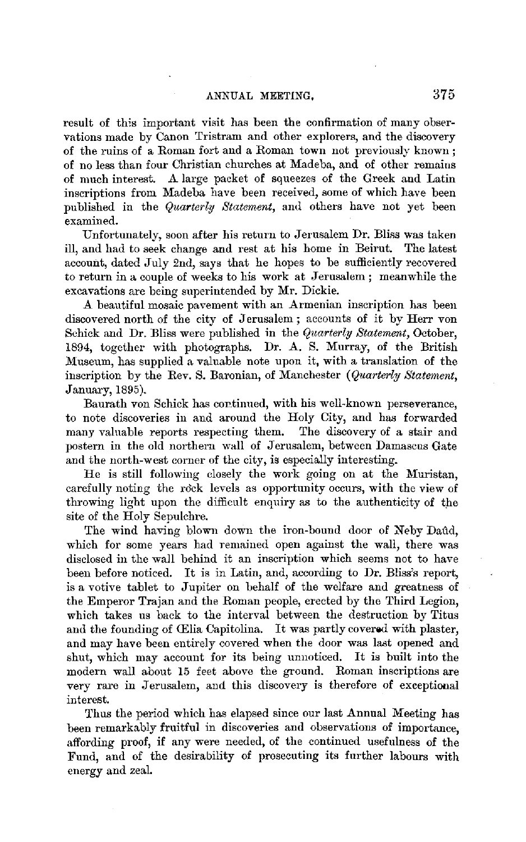result of this important visit has been the confirmation of many observations made by Canon Tristram and other explorers, and the discovery of the ruins of a Roman fort and a Roman town not previously known ; of no less than four Christian churches at Madeba, and of other remains of much interest. A large packet of squeezes of the Greek and Latin inscriptions from Madeba have been received, some of which have been published in the *Quarterly Statement,* and others have not yet been examined.

Unfortunately, soon after his return to Jerusalem Dr. Bliss was taken ill, and had to seek change and rest at his home in Beirut. The latest account, dated July 2nd, says that he hopes to be sufficiently recovered to return in a couple of weeks to his work at Jerusalem ; meanwhile the excavations are being superintended by Mr. Dickie.

A beautiful mosaic pavement with an Armenian inscription has been discovered north of the city of Jerusalem ; accounts of it by Herr von Schick and Dr. Bliss were published in the *Quarterly Statement*, October, 1894, together with photographs. Dr. A. S. Murray, of the British Museum, has supplied a valuable note upon it, with a translation of the inscription by the Rev. S. Baronian, of Manchester (*Quarterly Statement*, January, 1895).

Baurath von Schick has continued, with his well-known perseverance, to note discoveries in and around the Holy City, and has forwarded many valuable reports respecting them. The discovery of a stair and postern in the old northern wall of Jerusalem, between Damascus Gate and the north-west corner of the city, is especially interesting.

He is still following closely the work going on at the Muristan, carefully noting the rock levels as opportunity occurs, with the view of throwing light upon the difficult enquiry as to the authenticity of the site of the Holy Sepulchre.

The wind having blown down the iron-bound door of Neby Daûd. which for some years had remained open against the wall, there was disclosed in the wall behind it an inscription which seems not to have been before noticed. It is in Latin, and, according to **Dr.** Bliss's report, is a votive tablet to Jupiter on behalf of the welfare and greatness of the Emperor Trajan and the Roman people, erected by the Third Legion, which takes ns back to the interval between the destruction by Titus and the founding of (Elia Capitolina. It was partly covered with plaster, and may have been entirely covered when the door was last opened and shut, which may account for its being unnoticed. It is built into the modern wall about 15 feet above the ground. Roman inscriptions are very rare in Jerusalem, and this discovery is therefore of exceptional interest.

Thus the period which has elapsed since our last Annual Meeting has been remarkably fruitful in discoveries and observations of importance, affording proof, if any were needed, of the continued usefulness of the Fund, and of the desirability of prosecuting its further labours with energy and zeal.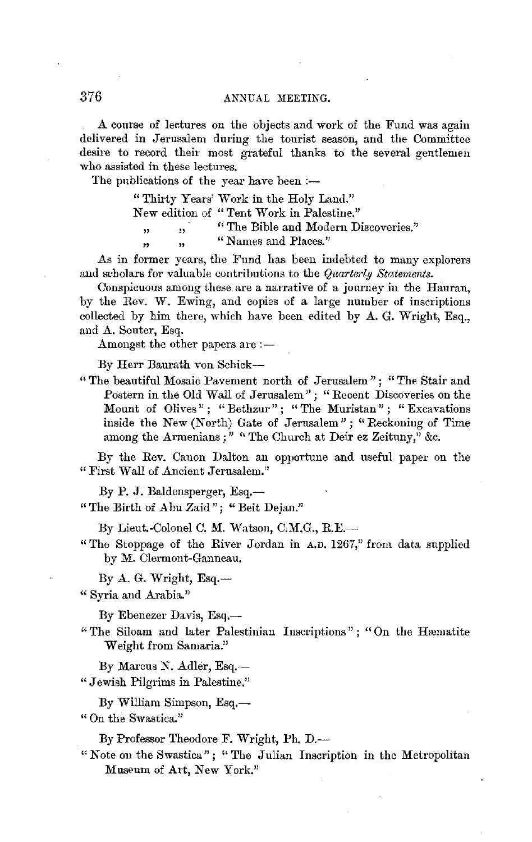A course of lectures on the objects and work of the Fund was again delivered in Jerusalem during the tourist season, and the Committee desire to record their most grateful thanks to the several gentlemen who assisted in these lectures.

The publications of the year have been :-

" Thirty Years' Work in the Holy Land."

New edition of " Tent Work in Palestine."

" ,, "The Bible and Modern Discoveries."<br>" Names and Places."

,, " "Names and Places."

As in former years, the Fund has been indebted to many explorers and scholars for valuable contributions to the *Quarterly Statements.* 

Conspicuous among these are a narrative of a journey in the Hauran, by the Rev. W. Ewing, and copies of a large number of inscriptions collected by him there, which have been edited by A. G. Wright, Esq., and A. Souter, Esq.

Amongst the other papers are:-

By Herr Baurath von Schick-

" The beautiful Mosaic Pavement north of Jerusalem"; "The Stair and Postern in the Old Wall of Jerusalem"; "Recent Discoveries on the Mount of Olives"; "Bethzur"; "The Muristan"; "Excavations inside the New (North) Gate of Jerusalem" ; "Reckoning of Time among the Armenians ; " " The Church at Deir ez Zeituny," &c.

By the Rev. Canon Dalton an opportune and useful paper on the "First Wall of Ancient Jerusalem."

By P. J. Baldensperger, Esq.-

" The Birth of Abu Zaid"; "Beit Dejan."

By Lieut.-Colonel C. M. Watson, C.M.G., R.E.-

" The Stoppage of the River Jordan in A.D. 1267," from data supplied by M. Olermont-Ganneau.

By  $A$ . G. Wright, Esq.--

" Syria and Arabia."

By Ebenezer Davis, Esq.-

- " The Siloam and later Palestinian Inscriptions"; "On the Hæmatite Weight from Samaria."
- By Marcus N. Adler, Esq.-- " Jewish Pilgrims in Palestine."
	- By William Simpson, Esq. $-$

" On the Swastica."

By Professor Theodore F. Wright, Ph. D.-

" Note on the Swastica"; " The Julian Inscription in the Metropolitan Museum of Art, New York."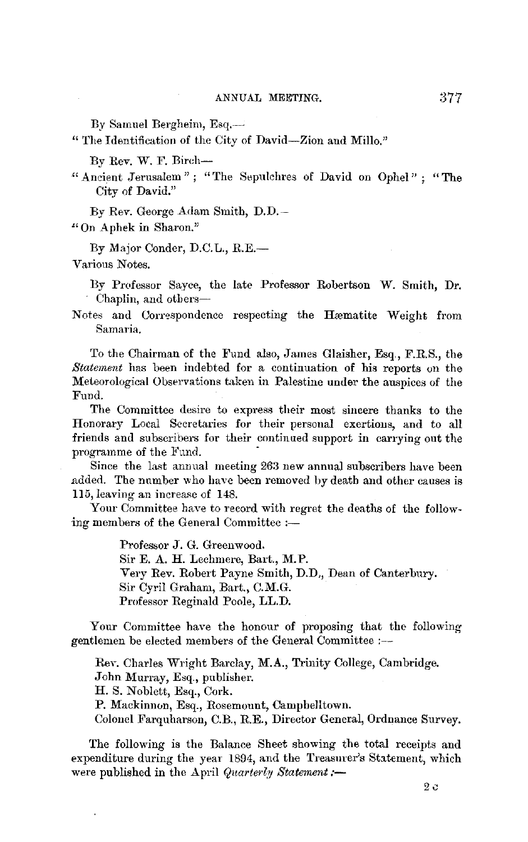By Samuel Bergheim, Esq.-

" The Identification of the City of David-Zion aud Millo."

By Rev. W. F. Bireh-

" Ancient Jerusalem" ; "The Sepulchres of David on Ophel" ; "The City of David."

By Rev. George Adam Smith, D.D.-

"On Aphek in Sharon."

By Major Conder, D.C.L., RE.-

Various Notes.

By Professor Sayce, the late Professor Robertson W. Smith, Dr. Chaplin, and otbers-

Notes and Correspondence respecting the Hæmatite Weight from Samaria.

To the Chairman of the Fund also, James Glaisher, Esq., F.R.S., the *Statement* has been indebted for a continuation of his reports on the Meteorological Observations taken in Palestine under the auspices of the Fund.

The Committee desire to express their most sincere thanks to the Honorary Local Secretaries for their personal exertions, and to all friends and subscribers for their continued support in carrying out the programme of the Fund.

Since the last annual meeting 263 new annual subscribers have been ndded. The number who have been removed by death and other causes is 115, leaving an increase of 148.

Your Committee have to record with regret the deaths of the following members of the General Committee :-

> Professor J. G. Greenwood. Sir E. A. H. Lechmere, Bart., **M. P.**  Very Rev. Robert Payne Smith, D.D,, Dean of Canterbury. Sir Cyril Graham, Bart., C.M.G. Professor Reginald Poole, LL.D.

Your Committee have the honour of proposing that the following gentlemen be elected members of the General Committee :-

Rev. Charles Wright Barclay, **M.A.,** Trinity College, Cambridge. John Murray, Esq., publisher. H. S. Noblett, Esq., Cork. **P.** Mackinnon, Esq., Rosemount, Campbelltown. Colonel Farquharson, C.B., R.E., Director General, Ordnance Survey.

The following is the Balance Sheet showing the total receipts and expenditure during the year 1894, and the Treasurer's Statement, which were published in the April *Quarterly Statement*:-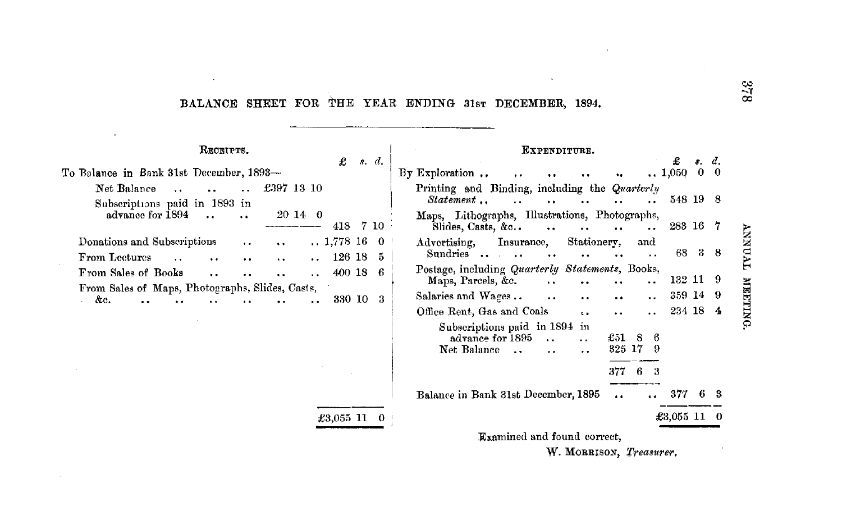# **BALANCE SHEET FOR** THE **YEAR ENDING** 3lsT **DECEMBER, 1894.**

 $\Delta$ 

 $\cdot$ 

 $\bar{\mathbf{x}}$ 

| RECEIPTS.                                                                                                                                                                        | £                           | s. d.         | EXPENDITURE.<br>£<br>s. d.                                                                                                                                                                                                  |
|----------------------------------------------------------------------------------------------------------------------------------------------------------------------------------|-----------------------------|---------------|-----------------------------------------------------------------------------------------------------------------------------------------------------------------------------------------------------------------------------|
| To Balance in Bank 31st December, 1893-                                                                                                                                          |                             |               | $0\quad 0$<br>$By$ Exploration<br>$\ldots$ 1,050                                                                                                                                                                            |
| Net Balance<br>£397 13 10<br>$\ddot{\phantom{a}}$<br>Subscriptions paid in 1893 in                                                                                               |                             |               | Printing and Binding, including the Quarterly<br>548 19 8<br>Statement                                                                                                                                                      |
| advance for 1894<br>$2014 \quad 0$<br>$\ddotsc$                                                                                                                                  | 418                         | 7 10          | Maps, Lithographs, Illustrations, Photographs,<br>283 16 7<br>Slides, Casts, &c<br>$\ddotsc$<br>$\ddot{\phantom{0}}$                                                                                                        |
| Donations and Subscriptions<br>$\bullet$ $\bullet$<br>$\ddot{\phantom{1}}$<br>From Lectures<br>$\ddotsc$<br>$\ddot{\phantom{0}}$<br>$\ddot{\phantom{a}}$<br>$\ddot{\phantom{0}}$ | $\ldots$ 1,778 16<br>126 18 | $\Omega$<br>5 | Stationery,<br>Insurance,<br>Advertising,<br>and<br>68<br>38<br>Sundries<br>. .                                                                                                                                             |
| From Sales of Books<br>$\ddot{\phantom{a}}$                                                                                                                                      | 400 18                      | -6            | Postage, including Quarterly Statements, Books,<br>132 11 9<br>Maps, Parcels, &c.<br>$\ddot{\phantom{0}}$                                                                                                                   |
| From Sales of Maps, Photographs, Slides, Casts,<br>&с.                                                                                                                           | 330 10 3                    |               | 359 14 9<br>Salaries and Wages<br>$\bullet$ $\bullet$<br>$\bullet \bullet$<br>$\ddot{\phantom{a}}$<br>234 18 4<br>Office Rent, Gas and Coals                                                                                |
|                                                                                                                                                                                  |                             |               | 1.4<br>$\ddot{\phantom{0}}$<br>Subscriptions paid in 1894 in<br>$\pounds 51$<br>advance for 1895<br>8<br>6<br>$\ddot{\phantom{a}}$<br>325 17<br>Net Balance<br>-9<br>$\sim$<br>$\ddot{\phantom{0}}$<br>$\ddot{\phantom{a}}$ |
|                                                                                                                                                                                  |                             |               | 377<br>6.<br>3                                                                                                                                                                                                              |
|                                                                                                                                                                                  |                             |               | Balance in Bank 31st December, 1895<br>377<br>6.<br>$\ddot{\phantom{a}}$<br>$\bullet$                                                                                                                                       |
|                                                                                                                                                                                  | $£3,055$ 11 0               |               | $$3.055$ 11 0                                                                                                                                                                                                               |
|                                                                                                                                                                                  |                             |               | Examined and found correct,                                                                                                                                                                                                 |
|                                                                                                                                                                                  |                             |               | W. MORRISON, Treasurer.                                                                                                                                                                                                     |

 $8\frac{1}{2}$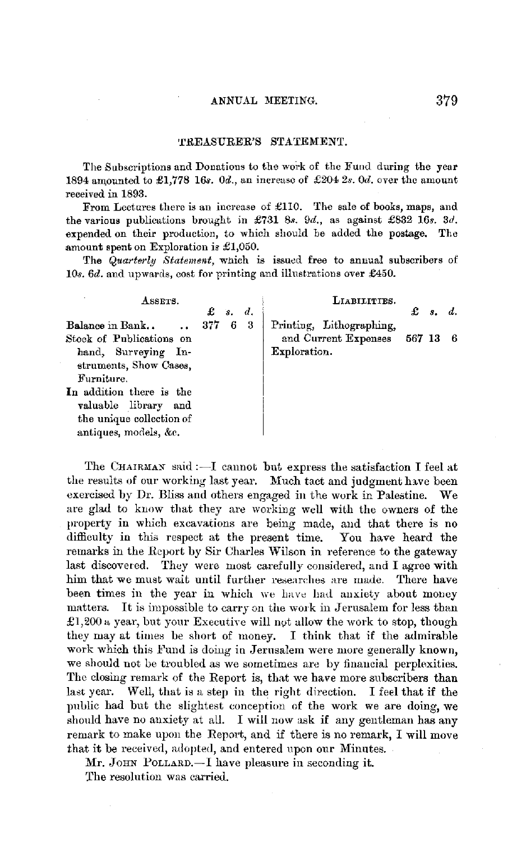#### 'l'REASURER'S STA'fEMENT.

The Subscriptions and Donations to the work of the Fund during the year 1894 amounted to £1,778 16s. 0d., an increase of £204 2s. 0d. over the amount received in 1893.

From Lectures there is an incrense of £110. The sale of books, maps, and the various publications brought in £731 8s. 9d., as against £832 16s. 3d. expended on their production, to which should be added the postage. The amount spent on Exploration is £1,050.

The *Quarterly Statement*, which is issued free to annual subscribers of 10s. 6d. and upwards, cost for printing and illustrations over £450.

| ASSETS.                                                                      |         |                          | LIABILITIES.                  |                     |  |
|------------------------------------------------------------------------------|---------|--------------------------|-------------------------------|---------------------|--|
| Balance in Bank<br>$\mathbf{a}$                                              | 377 6 3 | $\mathbf{f}$ $s$ , $d$ , | Printing, Lithographing,      | $\mathcal{L}$ s. d. |  |
| Stock of Publications on                                                     |         |                          | and Current Expenses 567 13 6 |                     |  |
| hand, Surveying In-<br>struments, Show Cases,                                |         |                          | Exploration.                  |                     |  |
| Furniture.                                                                   |         |                          |                               |                     |  |
| In addition there is the<br>valuable library and<br>the unique collection of |         |                          |                               |                     |  |
| antiques, models, &c.                                                        |         |                          |                               |                     |  |

The CHAIRMAN said :- I cannot but express the satisfaction I feel at the results of our working last year. Much tact and judgment have been exercised by Dr. Bliss and others engaged in the work in Palestine. We are glad to know that they are working well with the owners of the property in which excavations are being made, and that there is no difficulty in this respect at the present time. You have heard the remarks in the Report by Sir Charles Wilson in reference to the gateway last discovered. They were most carefully considered, and I agree with him that we must wait until further researches are made. There have been times in the year in which we have had anxiety about money matters. It is impossible to carry on the work in Jerusalem for less than £1,200 a year, but your Executive will not allow the work to stop, though they may at times be short of money. I think that if the admirable work which this Fund is doing in Jerusalem were more generally known, we should not be troubled as we sometimes are by financial perplexities. The closing remark of the Report is, that we have more subscribers than last year. Well, that is a step in the right direction. I feel that if the public had but the slightest conception of the work we are doing, we should have no anxiety at all. I will now ask if any gentleman has any remark to make upon the Report, and if there is no remark, I will move that it be received, adopted, and entered upon our Minutes.

Mr. JOHN POLLARD.-I have pleasure in seconding it. The resolution was carried.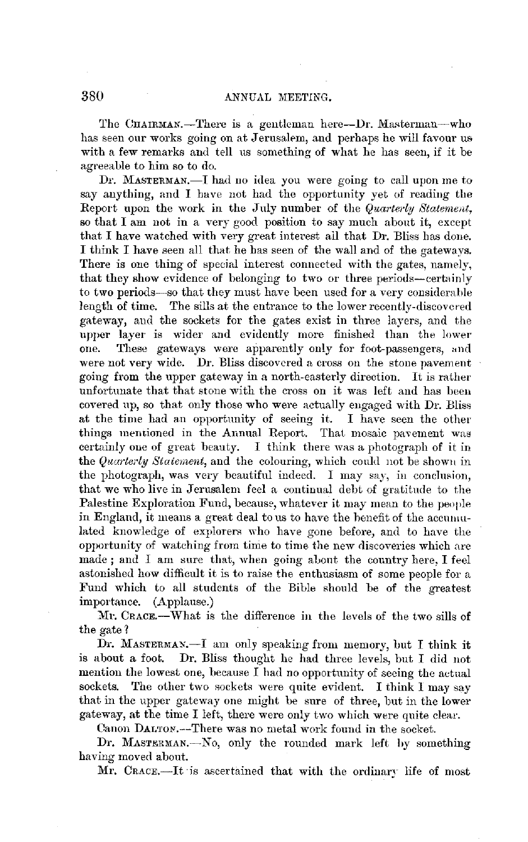The CHAIRMAN.-There is a gentleman here-Dr. Masterman-who has seen our works going on at Jerusalem, and perhaps he will favour us with a few remarks and tell us something of what he has seen, if it be agreeable to him so to do.

Dr. MASTERMAN.-I had no idea you were going to call upon me to say anything, and I have not had the opportunity yet of reading the Report upon the work in the July number of the *Quarterly Statement*. so that I am not in a very good position to say much about it, except that I have watched with very great interest ail that Dr. Bliss has done. I think I have seen all that he bas seen of the wall and of the gateways. There is one thing of special interest connected with the gates, namely, that they show evidence of belonging to two or three periods-certainly to two periods-so that they must have been used for a very considerable length of time. The sills at the entrance to the lower recently-discovered gateway, and the sockets for the gates exist in three layers, and the upper layer is wider and evidently more finished than the lower one. These gateways were apparently only for foot-passengers, and were not very wide. Dr. Bliss discovered a cross on the stone pavement going from the upper gateway in a north-easterly direction. It is rather unfortunate that that stone with the cross on it was left and has been covered up, so that only those who were actually engaged with Dr. Bliss at the time had an opportunity of seeing it. I have seen the other things mentioned in the Annual Report. That mosaic pavement was certainly one of great beauty. I think there was a photograph of it in the *Quarterly Statement*, and the colouring, which could not be shown in the photograph, was very beautiful indeed. I may say, in conclusion, that we who live in Jerusalem feel a continual debt of gratitude to the Palestine Exploration Fund, because, whatever it may mean to the people in England, it means a great deal to us to have the benefit of the accumulated knowledge of explorers who have gone before, and to have the opportunity of watching from time to time the new discoveries which are made; and I am sure that, when going about the country here, I feel astonished how difficult it is to raise the enthusiasm of some people for a Fund which to all students of the Bible should be of the greatest importance. (Applause.)

Mr. CRACE.-What is the difference in the levels of the two sills of the gate?

Dr. MASTERMAN. $-I$  am only speaking from memory, but I think it is about a foot. Dr. Bliss thought he had three levels, but I did not mention the lowest one, because I had no opportunity of seeing the actual sockets. The other two sockets were quite evident. I think I may say that in the upper gateway one might be sure of three, but in the lower gateway, at the time I left, there were only two which were quite clear.

Canon DALTON.--There was no metal work found in the socket.

Dr. MASTERMAN.-No, only the rounded mark left by something having moved about.

Mr. CRACE.-It is ascertained that with the ordinary life of most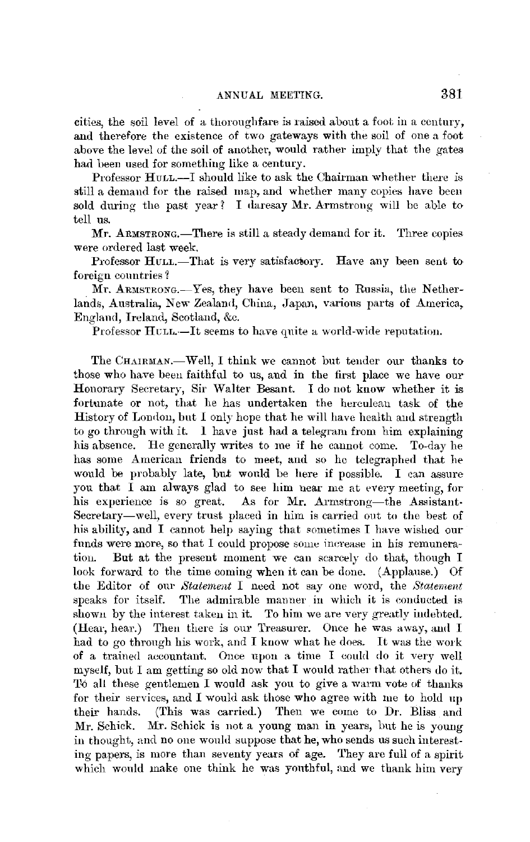cities, the soil level of a thoroughfare is rnised about a foot in a century, and therefore the existence of two gateways with the soil of one n foot above the level of the soil of another, would rather imply that the gates had been used for something like a century.

Professor HuLL.—I should like to ask the Chairman whether there is still a demand for the raised map, and whether many copies have been sold during the past year? I daresay  $Mr.$  Armstrong will be able to tell us.

Mr. ARMSTRONG.—There is still a steady demand for it. Three copies were ordered last week.

Professor HULL.-That is very satisfactory. Have any been sent to foreign countries 1

 $Mr.$  ARMSTRONG.—Yes, they have been sent to Russia, the Netherlands, Australia, New Zealand, China, Japan, various parts of America, England, Ireland, Scotland, &c.

Professor HULL.-It seems to have quite a world-wide reputation.

The CHAIRMAN.—Well, I think we cannot but tender our thanks to those who have been faithful to us, and in the first place we have our Honorary Secretary, Sir Walter Besant. I do not know whether it is fortunate or not, that he has undertaken the herculean task of the History of London, but I only hope that he will have health and strength to go through with it. 1 have just had a telegram from him explaining his absence. He generally writes to me if he cannot come. To-day he bas some American friends to meet, and so he telegraphed that he would be probably late, but would be here if possible. I can assure you that I am always glad to see him near me at every meeting, for his experience is so great. As for Mr. Armstrong-the Assistant-Secretary-well, every trust placed in him is carried out to the best of his ability, and I cannot help saying that sometimes I have wished our funds were more, so that I could propose some increase in his remuneratiou. But at the present moment we can scarcely do that, though I look forward to the time coming when it can be done. (Applause.) Of the Editor of our *Staternent* I need not say one word, the *Statement*  speaks for itsalf. The admirable manner in which it is conducted is shown by the interest taken in it. To him we are very greatly indebted. (Hear, hear.) Then there is our Treasurer. Once he was away, and I had to go through his work, and I know what he does. It was the work of a trained aeeountant. Once upon a time I eould do it very well myself, but I am getting so old now that I would rather that others do it. To all these gentlemen I would ask you to give a warm vote of thanks for their services, and I would ask those who agree with me to hold up their hands. (This was carried.) Then we come to Dr. Bliss and Mr. Schick. Mr. Schick is not a young man in years, hut he is young in thought, and no one would suppose that he, who sends us such interesting papers, is more than seventy years of age. They arc full of a spirit which would make one think he was youthful, and we thank him very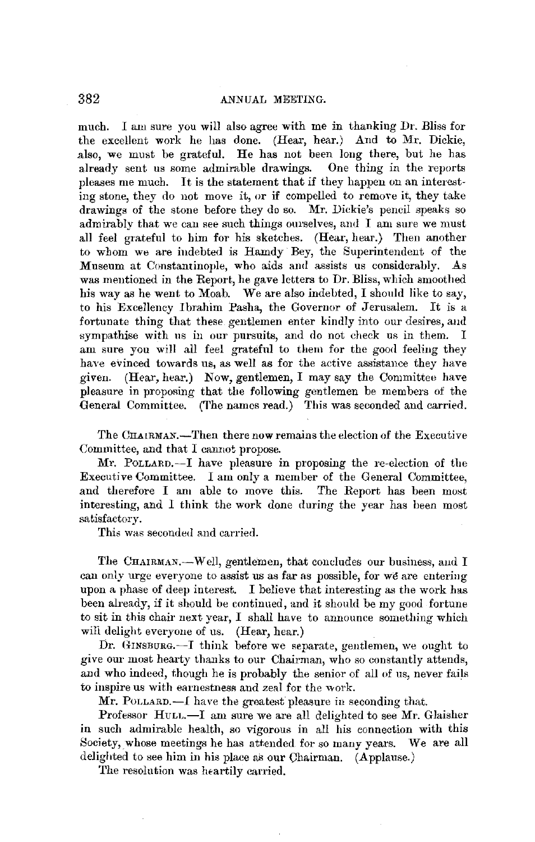much. I am sure you will also agree with me in thanking Dr. Bliss for the excellent work he has done. (Hear, hear.) And to Mr. Dickie, also, we must be grateful. He has not been long there, but he has already sent us some admirable drawings. One thing in the reports pleases me much. It is the statement that if they happen on an interesting stone, they do not move it, or if compelled to remove it, they take drawings of the stone before they do so. Mr. Dickie's pencil speaks so admirably that we can see such things ourselves, and I am sure we must all feel grateful to him for his sketches. (Hear, hear.) Then another to whom we are indebted is Hamdy Bey, the Superintendent of the Museum at Constantinople, who aids and assists us considerably. As was mentioned in the Report, he gave letters to Dr, Bliss, which smoothed his way as he went to Moab. We are also indebted, I should like to say, to his Excellency Ibrahim Pasha, the Governor of Jerusalem. It is a fortunate thing that these gentlemen enter kindly into our desires, aud sympathise with us in our pursuits, and do not check us in them. I am sure you will all feel grateful to them for the good feeling they have evinced towards us, as well as for the active assistance they have given. (Hear, hear.) Now, gentlemen, I may say the Committee have pleasure in proposing that the following gentlemen be members of the General Committee. (The names read.) This was seconded and carried.

The CHAlRMAN.-Then there now remains the election of the Executive Committee, and that I cannot propose.

Mr. PoLLARD,-I have pleasure in proposing the re-election of the Executive Committee. I am only a member of the General Committee, and therefore I am able to move this. The Report has been most interesting, and I think the work done during the year has been most satisfactory.

This was seconded and carried.

The CHAIRMAN.-W ell, gentlemen, that concludes our business, aud I can only urge everyone to assist us as far as possible, for we are entering upon a phase of deep interest. I believe that interesting as the work has been already, if it should be continued, and it should be my good fortune to sit in this chair next year, I shall have to announce something which will delight everyone of us. (Hear, hear.)

Dr. GINSBURG.--I think before we separate, gentlemen, we ought to give our most hearty thanks to our Chairman, who so constantly attends, and who indeed, though he is probably the senior of all of us, never fails to inspire us with eamestness and zeal for the work.

 $Mr.$  POLLARD.—I have the greatest pleasure in seconding that.

Professor Huu.-I am sure we are all delighted to see Mr. Glaisher in such admirable health, so vigorous in all his connection with this Society, whose meetings he has attended for so many years. We are all delighted to see him in his place as our Chairman. (Applause.)

The resolution was heartily carried.